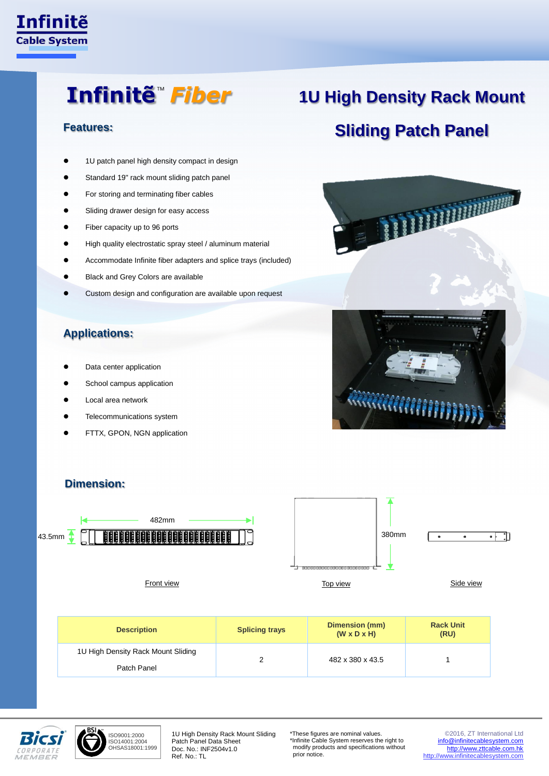

### Infinitẽ™ *Fiber*

- 1U patch panel high density compact in design
- Standard 19" rack mount sliding patch panel
- For storing and terminating fiber cables
- Sliding drawer design for easy access
- Fiber capacity up to 96 ports
- High quality electrostatic spray steel / aluminum material
- Accommodate Infinite fiber adapters and splice trays (included)
- Black and Grey Colors are available
- Custom design and configuration are available upon request

#### **Applications:**

- Data center application
- School campus application
- Local area network
- Telecommunications system
- FTTX, GPON, NGN application

## **1U High Density Rack Mount Sliding Patch Panel Features:**





### **Dimension:**





ISO9001:2000 ISO14001:2004 OHSAS18001:1999

1U High Density Rack Mount Sliding Patch Panel Data Sheet Doc. No.: INF2504v1.0 Ref. No.: TL

\*These figures are nominal values. \*Infinite Cable System reserves the right to modify products and specifications without prior notice.

©2016, ZT International Ltd [info@infinitecablesystem.com](mailto:info@infinitecablesystem.com) [http://www.zttcable.com.hk](http://www.zttcable.com.hk/) [http://www.infinitecablesystem.com](http://www.infinitecablesystem.com/)

**Rack Unit (RU)**